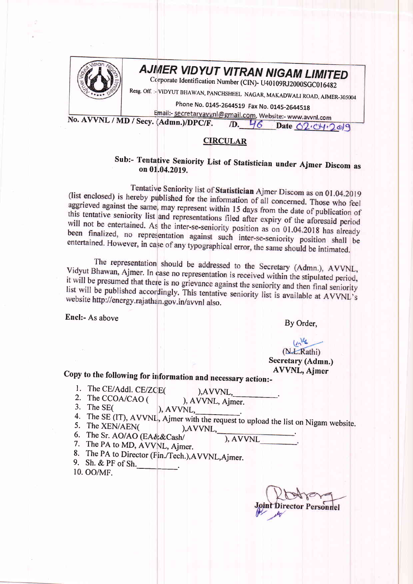

## AJMER VIDYUT VITRAN NIGAM LIMITED

Corporate Identification Number (CIN)- U40109RJ2000SGC016482

Resg. Off. :- VIDYUT BHAWAN, PANCHSHEEL NAGAR, MAKADWALI ROAD, AJMER-305004

Phone No. 0145-2644519 Fax No. 0145-2644518

Email:- secretaryavvnl@gmail.com, Website:- www.avvnl.com No. AVVNL / MD / Secy. (Admn.)/DPC/F. D. 46 Date 02.04.2019

## **CIRCULAR**

## Sub:- Tentative Seniority List of Statistician under Ajmer Discom as on 01.04.2019.

Tentative Seniority list of Statistician Ajmer Discom as on 01.04.2019 (list enclosed) is hereby published for the information of all concerned. Those who feel aggrieved against the same, may represent within 15 days from the date of publication of this tentative seniority list and representations filed after expiry of the aforesaid period will not be entertained. As the inter-se-seniority position as on 01.04.2018 has already been finalized, no representation against such inter-se-seniority position shall be entertained. However, in case of any typographical error, the same should be intimated.

The representation should be addressed to the Secretary (Admn.), AVVNL, Vidyut Bhawan, Ajmer. In case no representation is received within the stipulated period, it will be presumed that there is no grievance against the seniority and then final seniority list will be published accordingly. This tentative seniority list is available at AVVNL's website http://energy.rajathan.gov.in/avvnl also.

Encl:- As above

By Order,

## $ln^{\mathcal{U}_\mathbf{c}}$ (N.L.Rathi)

Secretary (Admn.) **AVVNL, Ajmer** 

Copy to the following for information and necessary action:-

1. The CE/Addl. CE/ZCE(

), AVVNL,

- 2. The CCOA/CAO ( ), AVVNL, Ajmer.
- 3. The SE $($ ), AVVNL,
- 4. The SE (IT), AVVNL, Ajmer with the request to upload the list on Nigam website.
- 5. The XEN/AEN( ), AVVNL, 6. The Sr. AO/AO (EA&&Cash/
	- ), AVVNL
- 7. The PA to MD, AVVNL, Ajmer.
- 8. The PA to Director (Fin./Tech.), AVVNL, Ajmer.
- 9. Sh. & PF of Sh.
- 10. OO/MF.